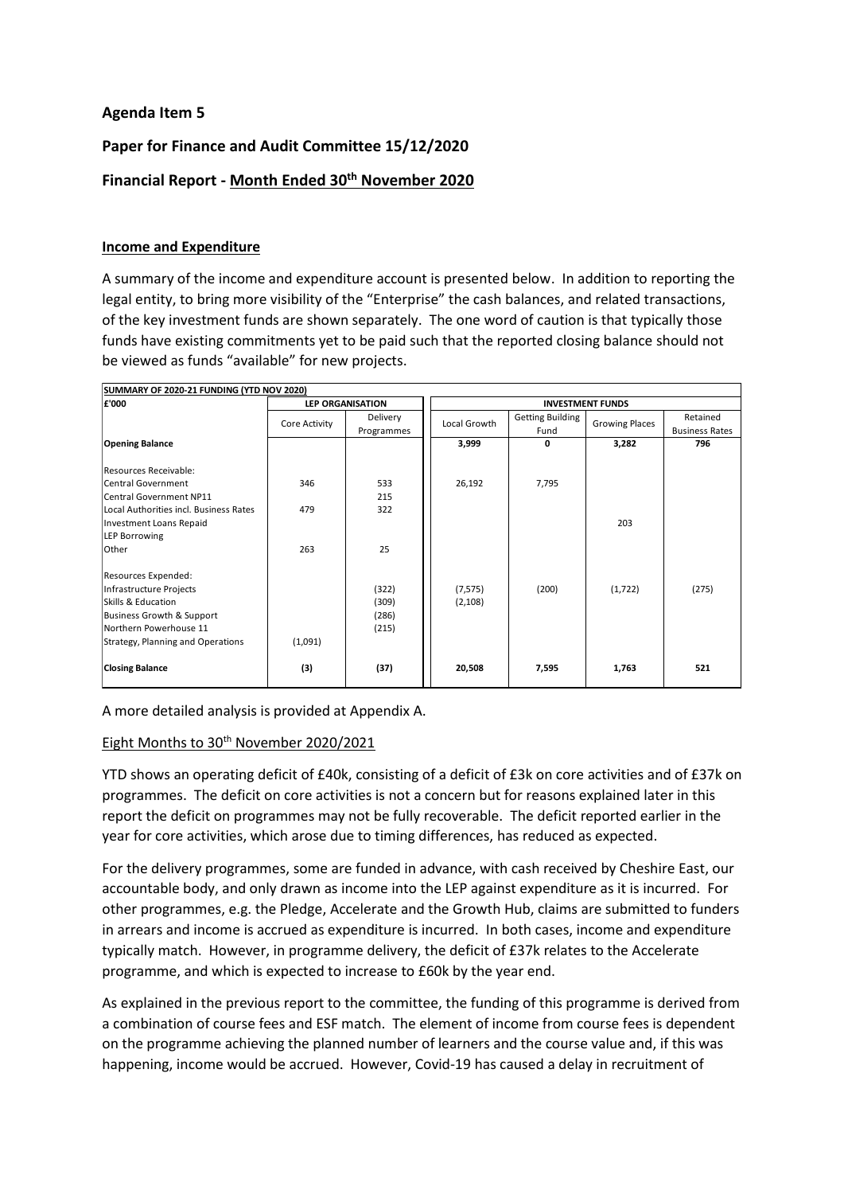## **Agenda Item 5**

# **Paper for Finance and Audit Committee 15/12/2020**

# **Financial Report - Month Ended 30 th November 2020**

### **Income and Expenditure**

A summary of the income and expenditure account is presented below. In addition to reporting the legal entity, to bring more visibility of the "Enterprise" the cash balances, and related transactions, of the key investment funds are shown separately. The one word of caution is that typically those funds have existing commitments yet to be paid such that the reported closing balance should not be viewed as funds "available" for new projects.

| SUMMARY OF 2020-21 FUNDING (YTD NOV 2020)<br>£'000 | <b>LEP ORGANISATION</b> |                               | <b>INVESTMENT FUNDS</b> |                                 |                       |                                   |  |
|----------------------------------------------------|-------------------------|-------------------------------|-------------------------|---------------------------------|-----------------------|-----------------------------------|--|
|                                                    | Core Activity           | <b>Delivery</b><br>Programmes | Local Growth            | <b>Getting Building</b><br>Fund | <b>Growing Places</b> | Retained<br><b>Business Rates</b> |  |
| <b>Opening Balance</b>                             |                         |                               | 3,999                   | 0                               | 3,282                 | 796                               |  |
| Resources Receivable:                              |                         |                               |                         |                                 |                       |                                   |  |
| <b>Central Government</b>                          | 346                     | 533                           | 26,192                  | 7,795                           |                       |                                   |  |
| <b>Central Government NP11</b>                     |                         | 215                           |                         |                                 |                       |                                   |  |
| Local Authorities incl. Business Rates             | 479                     | 322                           |                         |                                 |                       |                                   |  |
| <b>Investment Loans Repaid</b>                     |                         |                               |                         |                                 | 203                   |                                   |  |
| <b>LEP Borrowing</b>                               |                         |                               |                         |                                 |                       |                                   |  |
| Other                                              | 263                     | 25                            |                         |                                 |                       |                                   |  |
| Resources Expended:                                |                         |                               |                         |                                 |                       |                                   |  |
| Infrastructure Projects                            |                         | (322)                         | (7, 575)                | (200)                           | (1,722)               | (275)                             |  |
| Skills & Education                                 |                         | (309)                         | (2,108)                 |                                 |                       |                                   |  |
| Business Growth & Support                          |                         | (286)                         |                         |                                 |                       |                                   |  |
| Northern Powerhouse 11                             |                         | (215)                         |                         |                                 |                       |                                   |  |
| Strategy, Planning and Operations                  | (1,091)                 |                               |                         |                                 |                       |                                   |  |
| <b>Closing Balance</b>                             | (3)                     | (37)                          | 20,508                  | 7,595                           | 1,763                 | 521                               |  |

A more detailed analysis is provided at Appendix A.

## Eight Months to 30<sup>th</sup> November 2020/2021

YTD shows an operating deficit of £40k, consisting of a deficit of £3k on core activities and of £37k on programmes. The deficit on core activities is not a concern but for reasons explained later in this report the deficit on programmes may not be fully recoverable. The deficit reported earlier in the year for core activities, which arose due to timing differences, has reduced as expected.

For the delivery programmes, some are funded in advance, with cash received by Cheshire East, our accountable body, and only drawn as income into the LEP against expenditure as it is incurred. For other programmes, e.g. the Pledge, Accelerate and the Growth Hub, claims are submitted to funders in arrears and income is accrued as expenditure is incurred. In both cases, income and expenditure typically match. However, in programme delivery, the deficit of £37k relates to the Accelerate programme, and which is expected to increase to £60k by the year end.

As explained in the previous report to the committee, the funding of this programme is derived from a combination of course fees and ESF match. The element of income from course fees is dependent on the programme achieving the planned number of learners and the course value and, if this was happening, income would be accrued. However, Covid-19 has caused a delay in recruitment of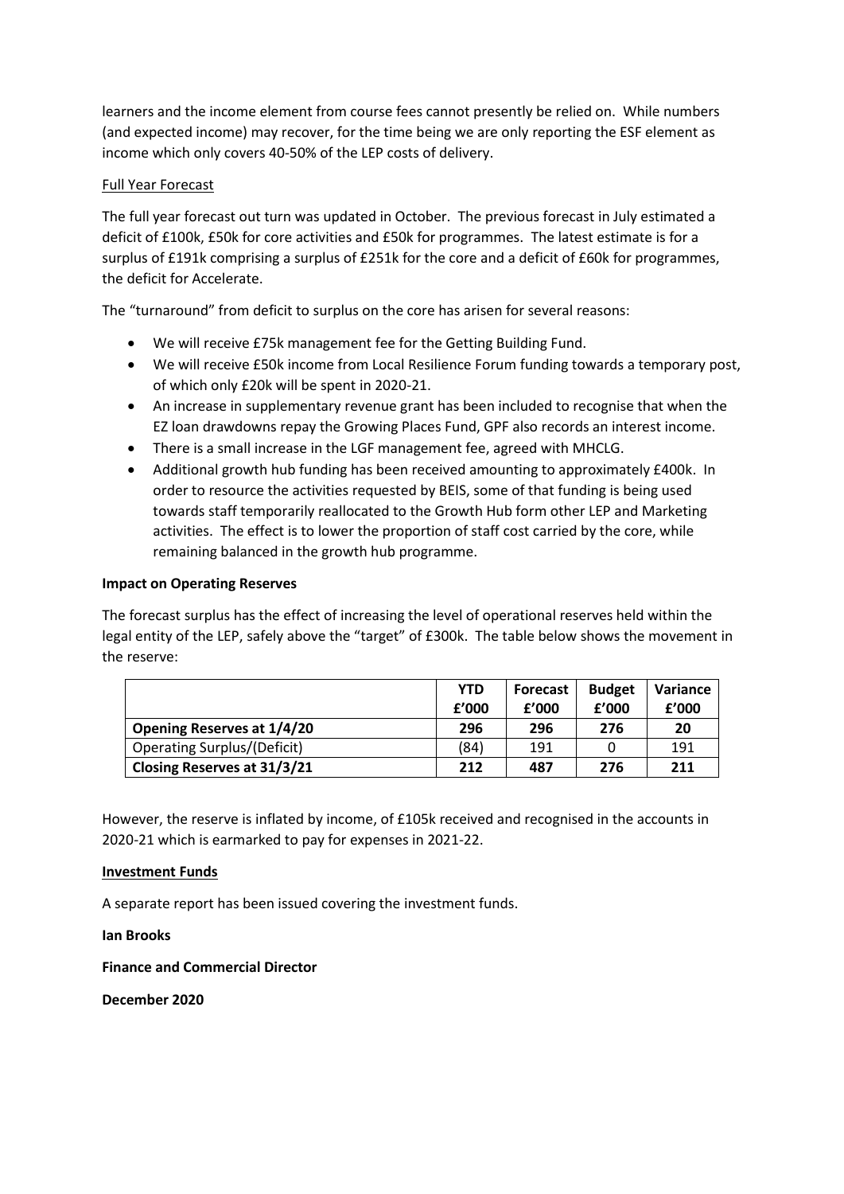learners and the income element from course fees cannot presently be relied on. While numbers (and expected income) may recover, for the time being we are only reporting the ESF element as income which only covers 40-50% of the LEP costs of delivery.

### Full Year Forecast

The full year forecast out turn was updated in October. The previous forecast in July estimated a deficit of £100k, £50k for core activities and £50k for programmes. The latest estimate is for a surplus of £191k comprising a surplus of £251k for the core and a deficit of £60k for programmes, the deficit for Accelerate.

The "turnaround" from deficit to surplus on the core has arisen for several reasons:

- We will receive £75k management fee for the Getting Building Fund.
- We will receive £50k income from Local Resilience Forum funding towards a temporary post, of which only £20k will be spent in 2020-21.
- An increase in supplementary revenue grant has been included to recognise that when the EZ loan drawdowns repay the Growing Places Fund, GPF also records an interest income.
- There is a small increase in the LGF management fee, agreed with MHCLG.
- Additional growth hub funding has been received amounting to approximately £400k. In order to resource the activities requested by BEIS, some of that funding is being used towards staff temporarily reallocated to the Growth Hub form other LEP and Marketing activities. The effect is to lower the proportion of staff cost carried by the core, while remaining balanced in the growth hub programme.

#### **Impact on Operating Reserves**

The forecast surplus has the effect of increasing the level of operational reserves held within the legal entity of the LEP, safely above the "target" of £300k. The table below shows the movement in the reserve:

|                                    | <b>YTD</b><br>f'000 | <b>Forecast</b><br>f'000 | <b>Budget</b><br>f'000 | Variance<br>£'000 |
|------------------------------------|---------------------|--------------------------|------------------------|-------------------|
| <b>Opening Reserves at 1/4/20</b>  | 296                 | 296                      | 276                    | 20                |
| <b>Operating Surplus/(Deficit)</b> | (84)                | 191                      |                        | 191               |
| Closing Reserves at 31/3/21        | 212                 | 487                      | 276                    | 211               |

However, the reserve is inflated by income, of £105k received and recognised in the accounts in 2020-21 which is earmarked to pay for expenses in 2021-22.

#### **Investment Funds**

A separate report has been issued covering the investment funds.

**Ian Brooks** 

**Finance and Commercial Director**

**December 2020**